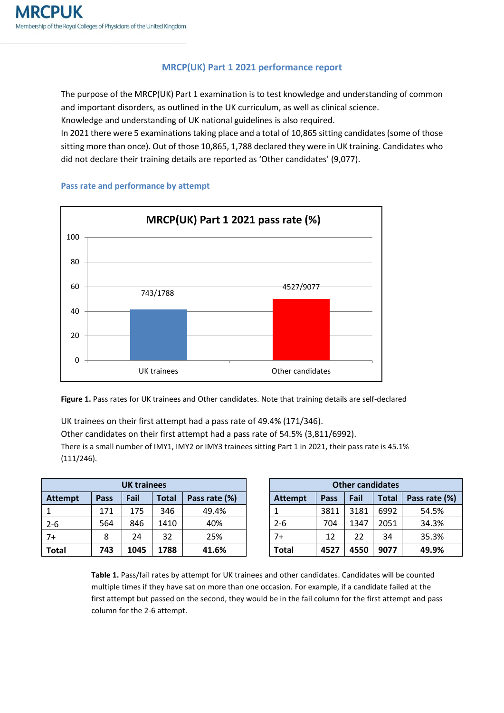## **MRCP(UK) Part 1 2021 performance report**

The purpose of the MRCP(UK) Part 1 examination is to test knowledge and understanding of common and important disorders, as outlined in the UK curriculum, as well as clinical science.

Knowledge and understanding of UK national guidelines is also required.

In 2021 there were 5 examinations taking place and a total of 10,865 sitting candidates (some of those sitting more than once). Out of those 10,865, 1,788 declared they were in UK training. Candidates who did not declare their training details are reported as 'Other candidates' (9,077).



## **Pass rate and performance by attempt**

**Figure 1.** Pass rates for UK trainees and Other candidates. Note that training details are self-declared

UK trainees on their first attempt had a pass rate of 49.4% (171/346). Other candidates on their first attempt had a pass rate of 54.5% (3,811/6992). There is a small number of IMY1, IMY2 or IMY3 trainees sitting Part 1 in 2021, their pass rate is 45.1% (111/246).

| <b>UK trainees</b> |      |      |              |               | <b>Other candidates</b> |      |      |              |               |
|--------------------|------|------|--------------|---------------|-------------------------|------|------|--------------|---------------|
| <b>Attempt</b>     | Pass | Fail | <b>Total</b> | Pass rate (%) | <b>Attempt</b>          | Pass | Fail | <b>Total</b> | Pass rate (%) |
|                    | 171  | 175  | 346          | 49.4%         |                         | 3811 | 3181 | 6992         | 54.5%         |
| $2 - 6$            | 564  | 846  | 1410         | 40%           | $2 - 6$                 | 704  | 1347 | 2051         | 34.3%         |
| $7+$               | 8    | 24   | 32           | 25%           | $7+$                    | 12   | 22   | 34           | 35.3%         |
| <b>Total</b>       | 743  | 1045 | 1788         | 41.6%         | <b>Total</b>            | 4527 | 4550 | 9077         | 49.9%         |

| <b>UK trainees</b> |       |               | <b>Other candidates</b> |      |      |              |               |  |
|--------------------|-------|---------------|-------------------------|------|------|--------------|---------------|--|
| Fail               | Total | Pass rate (%) | <b>Attempt</b>          | Pass | Fail | <b>Total</b> | Pass rate (%) |  |
| 175                | 346   | 49.4%         |                         | 3811 | 3181 | 6992         | 54.5%         |  |
| 846                | 1410  | 40%           | $2 - 6$                 | 704  | 1347 | 2051         | 34.3%         |  |
| 24                 | 32    | 25%           | $7+$                    | 12   | 22   | 34           | 35.3%         |  |
| 1045               | 1788  | 41.6%         | Total                   | 4527 | 4550 | 9077         | 49.9%         |  |

**Table 1.** Pass/fail rates by attempt for UK trainees and other candidates. Candidates will be counted multiple times if they have sat on more than one occasion. For example, if a candidate failed at the first attempt but passed on the second, they would be in the fail column for the first attempt and pass column for the 2-6 attempt.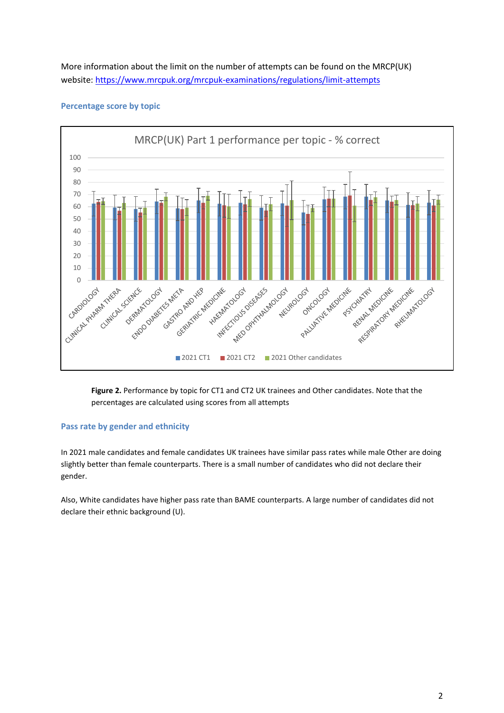More information about the limit on the number of attempts can be found on the MRCP(UK) website: <https://www.mrcpuk.org/mrcpuk-examinations/regulations/limit-attempts>



## **Percentage score by topic**

**Figure 2.** Performance by topic for CT1 and CT2 UK trainees and Other candidates. Note that the percentages are calculated using scores from all attempts

## **Pass rate by gender and ethnicity**

In 2021 male candidates and female candidates UK trainees have similar pass rates while male Other are doing slightly better than female counterparts. There is a small number of candidates who did not declare their gender.

Also, White candidates have higher pass rate than BAME counterparts. A large number of candidates did not declare their ethnic background (U).